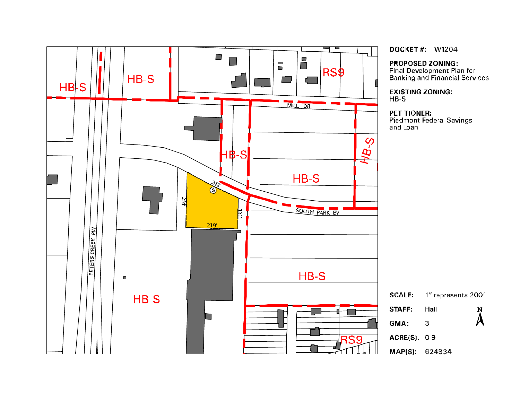

**DOCKET#: W1204** 

**PROPOSED ZONING:** 

Final Development Plan for Banking and Financial Services

**EXISTING ZONING:** 

#### PETITIONER: **Piedmont Federal Savings**

Ņ  $\lambda$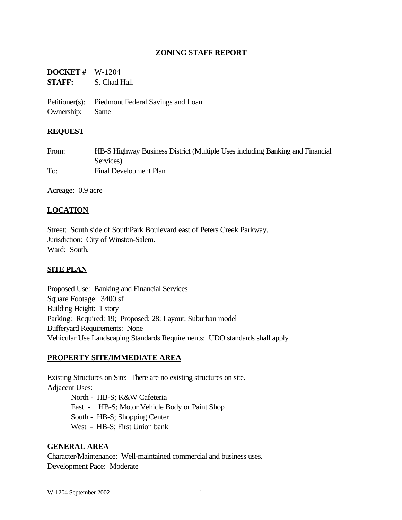#### **ZONING STAFF REPORT**

| <b>DOCKET#</b> | W-1204       |
|----------------|--------------|
| <b>STAFF:</b>  | S. Chad Hall |

Petitioner(s): Piedmont Federal Savings and Loan Ownership: Same

#### **REQUEST**

| From: | HB-S Highway Business District (Multiple Uses including Banking and Financial |
|-------|-------------------------------------------------------------------------------|
|       | Services)                                                                     |
| To:   | Final Development Plan                                                        |

Acreage: 0.9 acre

### **LOCATION**

Street: South side of SouthPark Boulevard east of Peters Creek Parkway. Jurisdiction: City of Winston-Salem. Ward: South.

#### **SITE PLAN**

Proposed Use: Banking and Financial Services Square Footage: 3400 sf Building Height: 1 story Parking: Required: 19; Proposed: 28: Layout: Suburban model Bufferyard Requirements: None Vehicular Use Landscaping Standards Requirements: UDO standards shall apply

#### **PROPERTY SITE/IMMEDIATE AREA**

Existing Structures on Site: There are no existing structures on site. Adjacent Uses: North - HB-S; K&W Cafeteria East - HB-S; Motor Vehicle Body or Paint Shop South - HB-S; Shopping Center West - HB-S; First Union bank

#### **GENERAL AREA**

Character/Maintenance: Well-maintained commercial and business uses. Development Pace: Moderate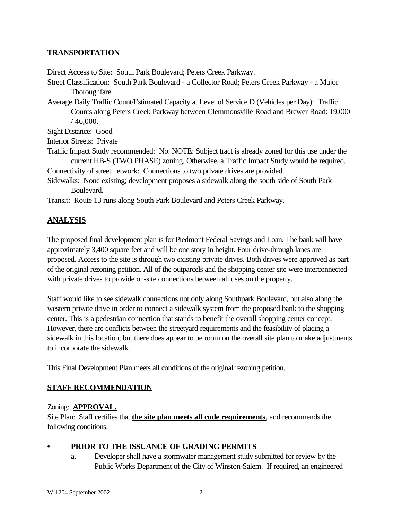### **TRANSPORTATION**

Direct Access to Site: South Park Boulevard; Peters Creek Parkway.

- Street Classification: South Park Boulevard a Collector Road; Peters Creek Parkway a Major Thoroughfare.
- Average Daily Traffic Count/Estimated Capacity at Level of Service D (Vehicles per Day): Traffic Counts along Peters Creek Parkway between Clemmonsville Road and Brewer Road: 19,000 / 46,000.

Sight Distance: Good

Interior Streets: Private

- Traffic Impact Study recommended: No. NOTE: Subject tract is already zoned for this use under the current HB-S (TWO PHASE) zoning. Otherwise, a Traffic Impact Study would be required.
- Connectivity of street network: Connections to two private drives are provided.
- Sidewalks: None existing; development proposes a sidewalk along the south side of South Park Boulevard.

Transit: Route 13 runs along South Park Boulevard and Peters Creek Parkway.

## **ANALYSIS**

The proposed final development plan is for Piedmont Federal Savings and Loan. The bank will have approximately 3,400 square feet and will be one story in height. Four drive-through lanes are proposed. Access to the site is through two existing private drives. Both drives were approved as part of the original rezoning petition. All of the outparcels and the shopping center site were interconnected with private drives to provide on-site connections between all uses on the property.

Staff would like to see sidewalk connections not only along Southpark Boulevard, but also along the western private drive in order to connect a sidewalk system from the proposed bank to the shopping center. This is a pedestrian connection that stands to benefit the overall shopping center concept. However, there are conflicts between the streetyard requirements and the feasibility of placing a sidewalk in this location, but there does appear to be room on the overall site plan to make adjustments to incorporate the sidewalk.

This Final Development Plan meets all conditions of the original rezoning petition.

## **STAFF RECOMMENDATION**

## Zoning: **APPROVAL.**

Site Plan: Staff certifies that **the site plan meets all code requirements**, and recommends the following conditions:

## **• PRIOR TO THE ISSUANCE OF GRADING PERMITS**

a. Developer shall have a stormwater management study submitted for review by the Public Works Department of the City of Winston-Salem. If required, an engineered